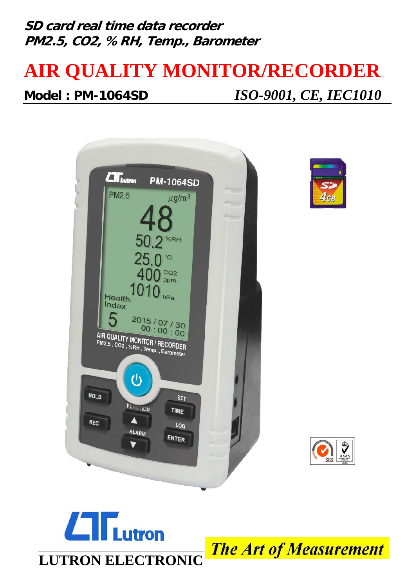## **SD card real time data recorder PM2.5, CO2, %RH, Temp., Barometer**

# **AIR QUALITY MONITOR/RECORDER Model : PM-1064SD** *ISO-9001, CE, IEC1010*







## $\Box$ **Lutron LUTRON ELECTRONIC**

**The Art of Measurement**